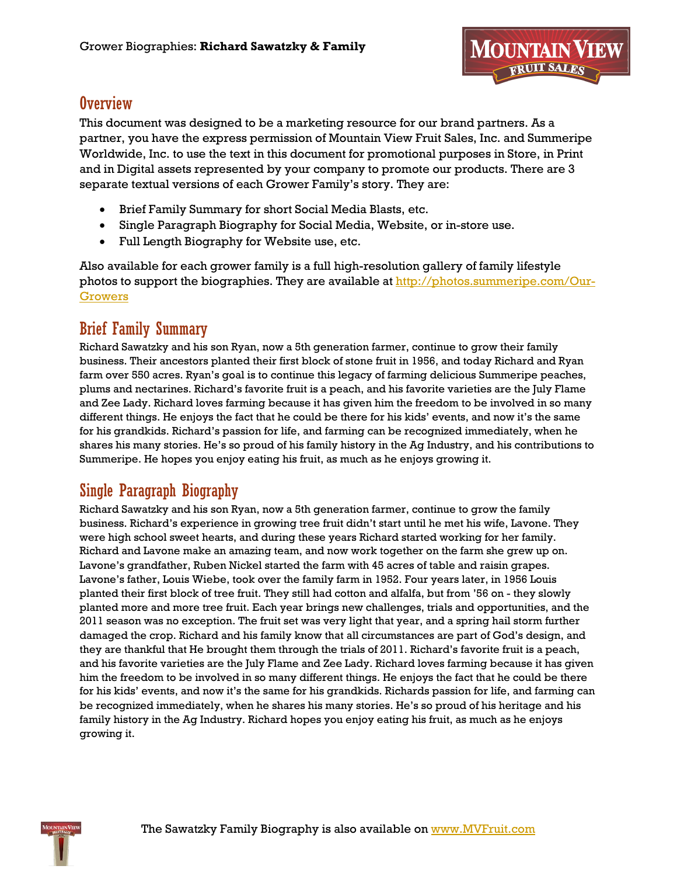### **Overview**

This document was designed to be a marketing resource for our brand partners. As a partner, you have the express permission of Mountain View Fruit Sales, Inc. and Summeripe Worldwide, Inc. to use the text in this document for promotional purposes in Store, in Print and in Digital assets represented by your company to promote our products. There are 3 separate textual versions of each Grower Family's story. They are:

- Brief Family Summary for short Social Media Blasts, etc.
- Single Paragraph Biography for Social Media, Website, or in-store use.
- Full Length Biography for Website use, etc.

Also available for each grower family is a full high-resolution gallery of family lifestyle photos to support the biographies. They are available at [http://photos.summeripe.com/Our-](http://photos.summeripe.com/Our-Growers)[Growers](http://photos.summeripe.com/Our-Growers)

## Brief Family Summary

Richard Sawatzky and his son Ryan, now a 5th generation farmer, continue to grow their family business. Their ancestors planted their first block of stone fruit in 1956, and today Richard and Ryan farm over 550 acres. Ryan's goal is to continue this legacy of farming delicious Summeripe peaches, plums and nectarines. Richard's favorite fruit is a peach, and his favorite varieties are the July Flame and Zee Lady. Richard loves farming because it has given him the freedom to be involved in so many different things. He enjoys the fact that he could be there for his kids' events, and now it's the same for his grandkids. Richard's passion for life, and farming can be recognized immediately, when he shares his many stories. He's so proud of his family history in the Ag Industry, and his contributions to Summeripe. He hopes you enjoy eating his fruit, as much as he enjoys growing it.

# Single Paragraph Biography

Richard Sawatzky and his son Ryan, now a 5th generation farmer, continue to grow the family business. Richard's experience in growing tree fruit didn't start until he met his wife, Lavone. They were high school sweet hearts, and during these years Richard started working for her family. Richard and Lavone make an amazing team, and now work together on the farm she grew up on. Lavone's grandfather, Ruben Nickel started the farm with 45 acres of table and raisin grapes. Lavone's father, Louis Wiebe, took over the family farm in 1952. Four years later, in 1956 Louis planted their first block of tree fruit. They still had cotton and alfalfa, but from '56 on - they slowly planted more and more tree fruit. Each year brings new challenges, trials and opportunities, and the 2011 season was no exception. The fruit set was very light that year, and a spring hail storm further damaged the crop. Richard and his family know that all circumstances are part of God's design, and they are thankful that He brought them through the trials of 2011. Richard's favorite fruit is a peach, and his favorite varieties are the July Flame and Zee Lady. Richard loves farming because it has given him the freedom to be involved in so many different things. He enjoys the fact that he could be there for his kids' events, and now it's the same for his grandkids. Richards passion for life, and farming can be recognized immediately, when he shares his many stories. He's so proud of his heritage and his family history in the Ag Industry. Richard hopes you enjoy eating his fruit, as much as he enjoys growing it.

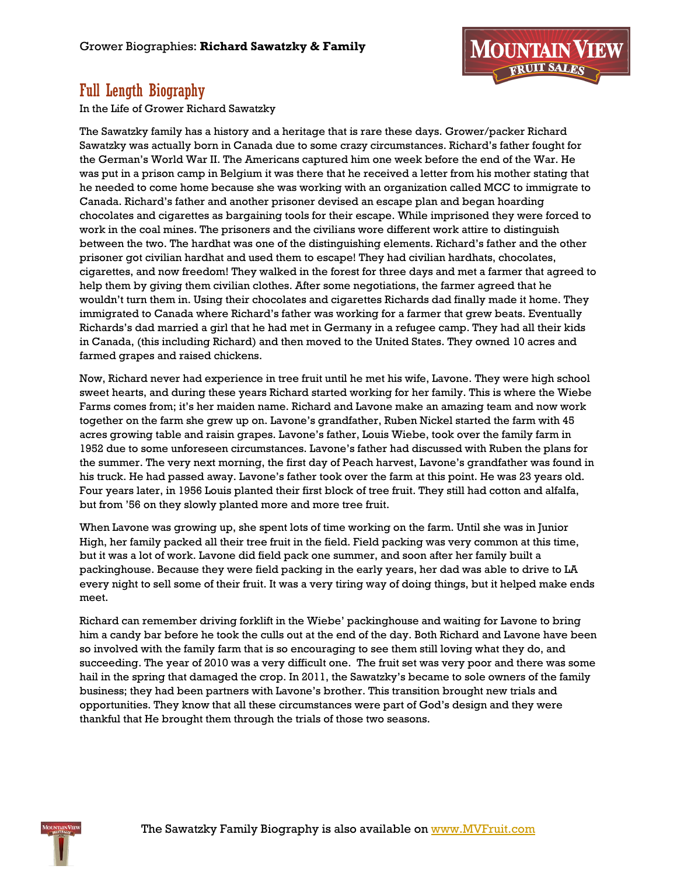

## Full Length Biography

In the Life of Grower Richard Sawatzky

The Sawatzky family has a history and a heritage that is rare these days. Grower/packer Richard Sawatzky was actually born in Canada due to some crazy circumstances. Richard's father fought for the German's World War II. The Americans captured him one week before the end of the War. He was put in a prison camp in Belgium it was there that he received a letter from his mother stating that he needed to come home because she was working with an organization called MCC to immigrate to Canada. Richard's father and another prisoner devised an escape plan and began hoarding chocolates and cigarettes as bargaining tools for their escape. While imprisoned they were forced to work in the coal mines. The prisoners and the civilians wore different work attire to distinguish between the two. The hardhat was one of the distinguishing elements. Richard's father and the other prisoner got civilian hardhat and used them to escape! They had civilian hardhats, chocolates, cigarettes, and now freedom! They walked in the forest for three days and met a farmer that agreed to help them by giving them civilian clothes. After some negotiations, the farmer agreed that he wouldn't turn them in. Using their chocolates and cigarettes Richards dad finally made it home. They immigrated to Canada where Richard's father was working for a farmer that grew beats. Eventually Richards's dad married a girl that he had met in Germany in a refugee camp. They had all their kids in Canada, (this including Richard) and then moved to the United States. They owned 10 acres and farmed grapes and raised chickens.

Now, Richard never had experience in tree fruit until he met his wife, Lavone. They were high school sweet hearts, and during these years Richard started working for her family. This is where the Wiebe Farms comes from; it's her maiden name. Richard and Lavone make an amazing team and now work together on the farm she grew up on. Lavone's grandfather, Ruben Nickel started the farm with 45 acres growing table and raisin grapes. Lavone's father, Louis Wiebe, took over the family farm in 1952 due to some unforeseen circumstances. Lavone's father had discussed with Ruben the plans for the summer. The very next morning, the first day of Peach harvest, Lavone's grandfather was found in his truck. He had passed away. Lavone's father took over the farm at this point. He was 23 years old. Four years later, in 1956 Louis planted their first block of tree fruit. They still had cotton and alfalfa, but from '56 on they slowly planted more and more tree fruit.

When Lavone was growing up, she spent lots of time working on the farm. Until she was in Junior High, her family packed all their tree fruit in the field. Field packing was very common at this time, but it was a lot of work. Lavone did field pack one summer, and soon after her family built a packinghouse. Because they were field packing in the early years, her dad was able to drive to LA every night to sell some of their fruit. It was a very tiring way of doing things, but it helped make ends meet.

Richard can remember driving forklift in the Wiebe' packinghouse and waiting for Lavone to bring him a candy bar before he took the culls out at the end of the day. Both Richard and Lavone have been so involved with the family farm that is so encouraging to see them still loving what they do, and succeeding. The year of 2010 was a very difficult one. The fruit set was very poor and there was some hail in the spring that damaged the crop. In 2011, the Sawatzky's became to sole owners of the family business; they had been partners with Lavone's brother. This transition brought new trials and opportunities. They know that all these circumstances were part of God's design and they were thankful that He brought them through the trials of those two seasons.